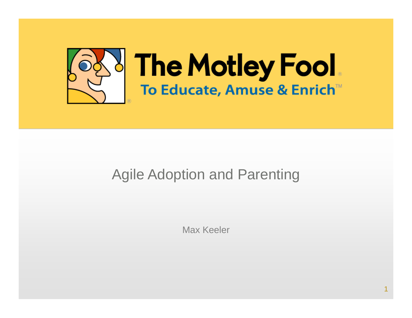

### Agile Adoption and Parenting

Max Keeler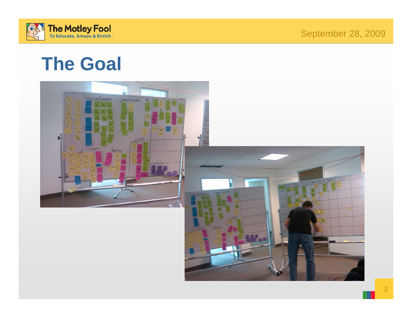

### **The Goal**



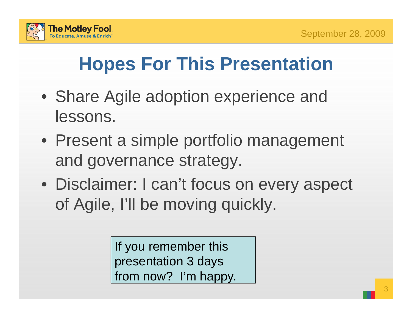

## **Hopes For This Presentation**

- Share Agile adoption experience and lessons.
- Present a simple portfolio management and governance strategy.
- Disclaimer: I can't focus on every aspect of Agile, I'll be moving quickly.

If you remember this presentation 3 days from now? I'm happy.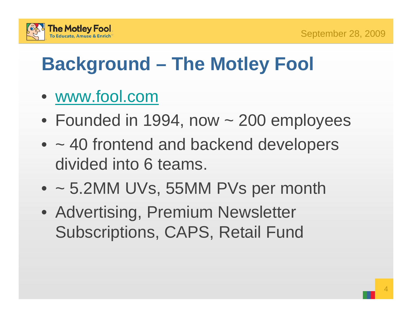

## **Background – The Motley Fool**

- [www.fool.com](http://www.fool.com/)
- Founded in 1994, now ~ 200 employees
- ~ 40 frontend and backend developers divided into 6 teams.
- ~ 5.2MM UVs, 55MM PVs per month
- Advertising, Premium Newsletter Subscriptions, CAPS, Retail Fund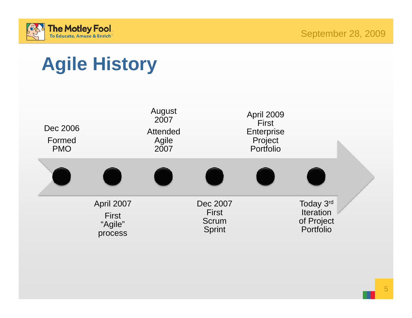

## **Agile History**

| Dec 2006<br>Formed<br><b>PMO</b> |                                                  | August<br>2007<br><b>Attended</b><br>Agile<br>2007 |                                             | April 2009<br><b>First</b><br>Enterprise<br>Project<br>Portfolio |                                                   |  |
|----------------------------------|--------------------------------------------------|----------------------------------------------------|---------------------------------------------|------------------------------------------------------------------|---------------------------------------------------|--|
|                                  |                                                  |                                                    |                                             |                                                                  |                                                   |  |
|                                  | April 2007<br><b>First</b><br>"Agile"<br>process |                                                    | Dec 2007<br><b>First</b><br>Scrum<br>Sprint |                                                                  | Today 3rd<br>Iteration<br>of Project<br>Portfolio |  |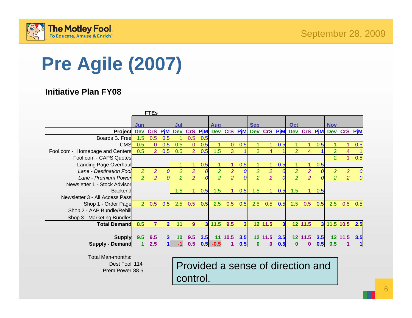

# **Pre Agile (2007)**

#### **Initiative Plan FY08**

| <b>FTEs</b>                     |                |                |              |                 |                |                         |                |                |              |                |                |     |                |                |     |                |                     |                  |
|---------------------------------|----------------|----------------|--------------|-----------------|----------------|-------------------------|----------------|----------------|--------------|----------------|----------------|-----|----------------|----------------|-----|----------------|---------------------|------------------|
|                                 | Jun            |                |              | Jul             |                |                         | Aug            |                |              | <b>Sep</b>     |                |     | Oct            |                |     | <b>Nov</b>     |                     |                  |
| <b>Project Dev</b>              |                | CrS PjM        |              | <b>Dev</b>      | CrS PjM        |                         | <b>Dev</b>     |                | CrS PjM      |                | Dev CrS PjM    |     | <b>Dev</b>     |                |     |                | CrS PjM Dev CrS PjM |                  |
| Boards B. Free                  | 1.5            | 0.5            | 0.5          |                 | 0.5            | 0.5                     |                |                |              |                |                |     |                |                |     |                |                     |                  |
| <b>CMS</b>                      | 0.5            | $\Omega$       | 0.5          | 0.5             | $\overline{0}$ | 0.5                     |                | $\Omega$       | 0.5          |                |                | 0.5 |                |                | 0.5 |                |                     | 0.5              |
| Fool.com - Homepage and Centers | 0.5            | 2 <sup>1</sup> | 0.5          | 0.5             | 2 <sup>1</sup> | 0.5                     | 1.5            | 3              |              | $\overline{2}$ | 4              |     | $\overline{2}$ | 4              |     | $\overline{2}$ | 4                   |                  |
| Fool.com - CAPS Quotes          |                |                |              |                 |                |                         |                |                |              |                |                |     |                |                |     | $\overline{2}$ |                     | 0.5              |
| <b>Landing Page Overhaul</b>    |                |                |              |                 |                | 0.5                     |                |                | 0.5          |                |                | 0.5 |                |                | 0.5 |                |                     |                  |
| Lane - Destination Fool         | $\mathbf{P}$   | $\overline{2}$ |              | $\overline{2}$  | $\overline{2}$ |                         | $\overline{2}$ | $\overline{2}$ |              | $\overline{2}$ | $\overline{2}$ |     | 2              | $\overline{2}$ |     | $\overline{c}$ | $\overline{2}$      | 0                |
| Lane - Premium Power            | $\mathcal{P}$  | $\overline{2}$ |              | $\mathbf{P}$    | $\overline{2}$ |                         | $\overline{2}$ | $\overline{2}$ |              | $\overline{2}$ | $\overline{2}$ |     | $\overline{2}$ | $\overline{2}$ |     | $\overline{2}$ | $\overline{2}$      | $\boldsymbol{o}$ |
| Newsletter 1 - Stock Advisor    |                |                |              |                 |                |                         |                |                |              |                |                |     |                |                |     |                |                     |                  |
| <b>Backend</b>                  |                |                |              | 1.5             |                | 0.5                     | 1.5            |                | 0.5          | 1.5            |                | 0.5 | 1.5            |                | 0.5 |                |                     |                  |
| Newsletter 3 - All Access Pass  |                |                |              |                 |                |                         |                |                |              |                |                |     |                |                |     |                |                     |                  |
| Shop 1 - Order Page             | 2 <sup>2</sup> | 0.5            | 0.5          | 2.5             | 0.5            | 0.5                     | 2.5            | 0.5            | 0.5          | 2.5            | 0.5            | 0.5 | 2.5            | 0.5            | 0.5 | 2.5            | 0.5                 | 0.5              |
| Shop 2 - AAP Bundle/Rebill      |                |                |              |                 |                |                         |                |                |              |                |                |     |                |                |     |                |                     |                  |
| Shop 3 - Marketing Bundles      |                |                |              |                 |                |                         |                |                |              |                |                |     |                |                |     |                |                     |                  |
| <b>Total Demand</b>             | 8.5            | $\overline{7}$ |              | 11              | 9              | $\overline{\mathbf{3}}$ | $11.5$         | 9.5            | $\mathbf{3}$ |                | 12 11.5        |     |                | 12 11.5        |     | 3 11.5 10.5    |                     | 2.5              |
|                                 |                |                |              |                 |                |                         |                |                |              |                |                |     |                |                |     |                |                     |                  |
| <b>Supply</b>                   |                | $9.5$ $9.5$    | $\mathbf{3}$ | 10 <sub>1</sub> | $9.5$ 3.5      |                         |                | 11 10.5 3.5    |              |                | 12 11.5 3.5    |     |                | 12 11.5        | 3.5 |                | 12 11.5             | 3.5              |
| <b>Supply - Demand</b>          | 1              | 2.5            |              | $-1$            | 0.5            | 0.5                     | $-0.5$         |                | 0.5          | $\bf{0}$       | $\mathbf{0}$   | 0.5 | $\bf{0}$       | $\bf{0}$       | 0.5 | 0.5            |                     | 11               |
| Total Man-months:               |                |                |              |                 |                |                         |                |                |              |                |                |     |                |                |     |                |                     |                  |

Total Man-months:

Dest Fool 114Prem Power 88.5 Provided a sense of direction and control.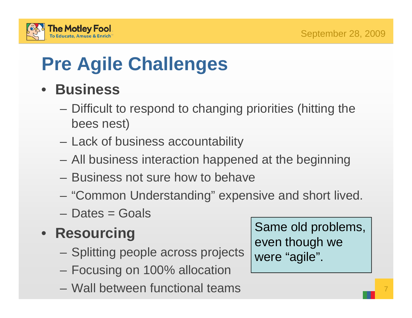

# **Pre Agile Challenges**

### • **Business**

- Difficult to respond to changing priorities (hitting the bees nest)
- –– Lack of business accountability
- –All business interaction happened at the beginning
- Business not sure how to behave
- "Common Understanding" expensive and short lived.
- Dates = Goals

### • **Resourcing**

- Splitting people across projects
- Focusing on 100% allocation
- Wall between functional teams

Same old problems, even though we were "agile".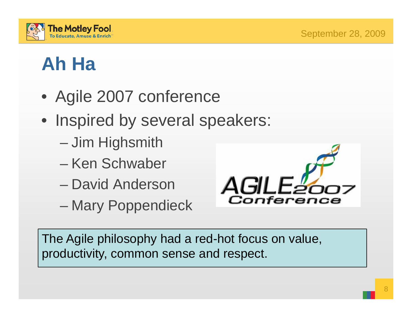

### **Ah Ha**

- Agile 2007 conference
- Inspired by several speakers:
	- Jim Highsmith
	- Ken Schwaber
	- David Anderson
	- Mary Poppendieck



The Agile philosophy had a red-hot focus on value, productivity, common sense and respect.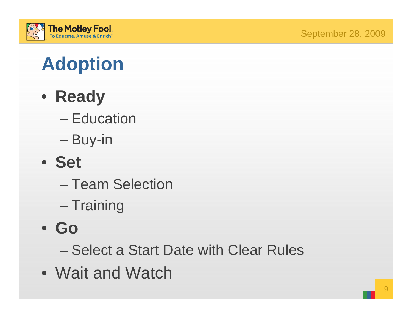

# **Adoption**

- **Ready**
	- Education
	- Buy-in
- **Set**
	- Team Selection
	- Training
- **Go**

– Select a Start Date with Clear Rules

• Wait and Watch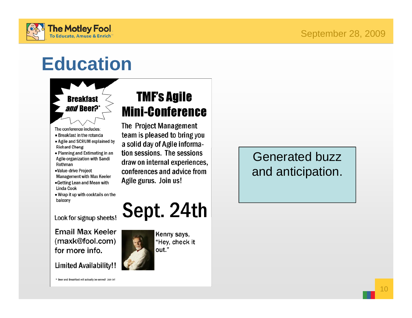

### **Education**

### and Beer?

**Breakfast** 

The conference includes:

- Breakfast in the rotunda
- Agile and SCRUM explained by **Richard Cheng**
- Planning and Estimating in an Agile organization with Sandi Rothman
- ·Value-drive Project **Management with Max Keeler** •Getting Lean and Mean with **Linda Cook**
- Wrap it up with cocktails on the balcony

Look for signup sheets!

**Email Max Keeler**  $(maxk@food.com)$ for more info.

**Limited Availability!!** 



### **TMF's Agile Mini-Conference**

**The Project Management** team is pleased to bring you a solid day of Agile information sessions. The sessions draw on internal experiences. conferences and advice from Agile gurus. Join us!

Sept. 24th

#### Generated buzz and anticipation.

#### \* Beer and Breakfast will actually be served! Join in!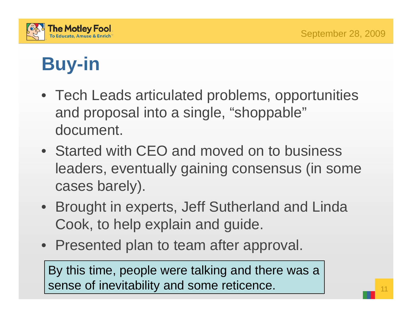

# **Buy-in**

- Tech Leads articulated problems, opportunities and proposal into a single, "shoppable" document.
- Started with CEO and moved on to business leaders, eventually gaining consensus (in some cases barely).
- Brought in experts, Jeff Sutherland and Linda Cook, to help explain and guide.
- Presented plan to team after approval.

By this time, people were talking and there was a sense of inevitability and some reticence.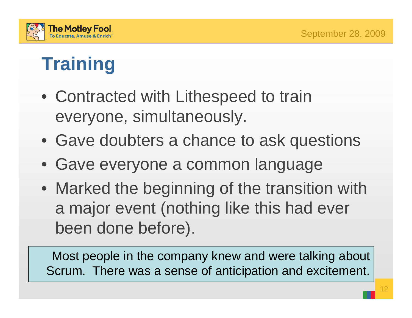

# **Training**

- Contracted with Lithespeed to train everyone, simultaneously.
- Gave doubters a chance to ask questions
- Gave everyone a common language
- Marked the beginning of the transition with a major event (nothing like this had ever been done before).

Most people in the company knew and were talking about Scrum. There was a sense of anticipation and excitement.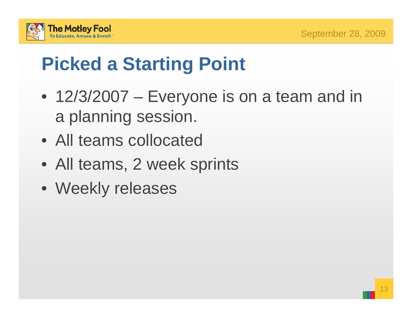



### **Picked a Starting Point**

- 12/3/2007 Everyone is on a team and in a planning session.
- All teams collocated
- All teams, 2 week sprints
- Weekly releases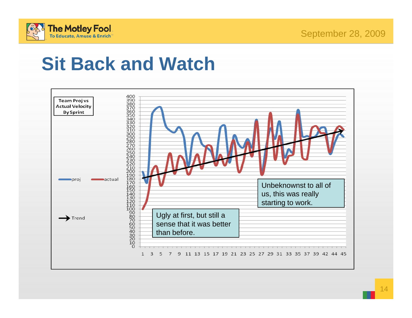

### **Sit Back and Watch**

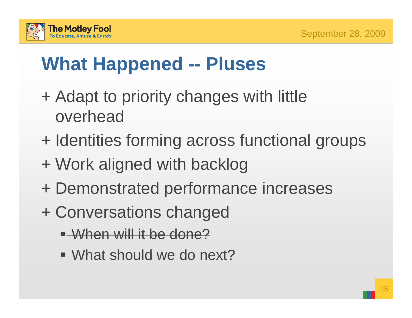

### **What Happened -- Pluses**

- + Adapt to priority changes with little overhead
- + Identities forming across functional groups
- + Work aligned with backlog
- + Demonstrated performance increases
- + Conversations changed
	- When will it be done?
	- What should we do next?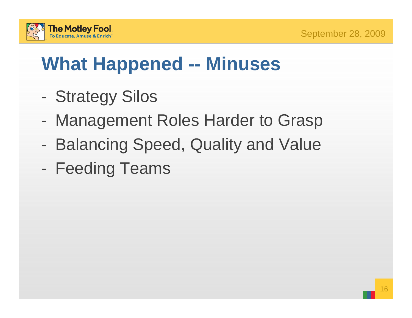

### **What Happened -- Minuses**

- -- Strategy Silos
- -Management Roles Harder to Grasp
- -- Balancing Speed, Quality and Value
- -- Feeding Teams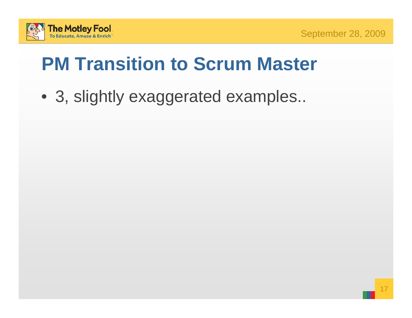

### **PM Transition to Scrum Master**

• 3, slightly exaggerated examples..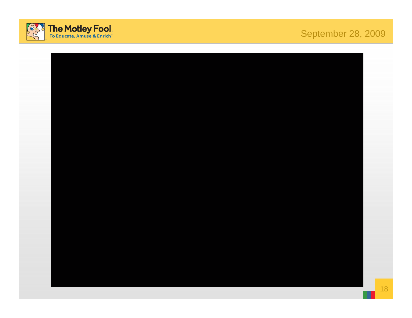

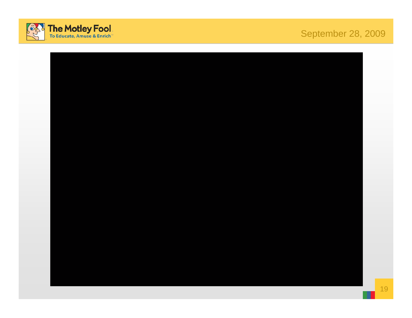

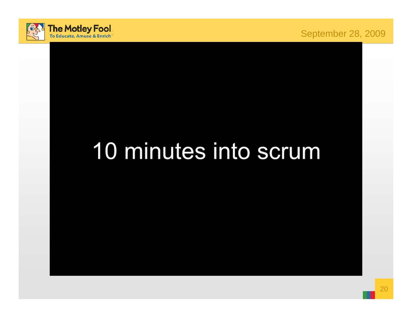

# 10 minutes into scrum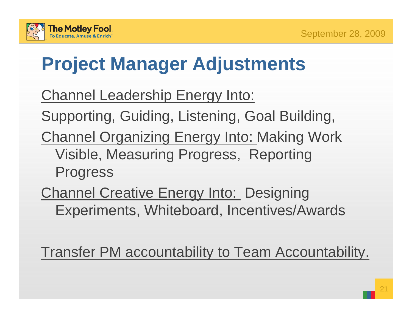

### **Project Manager Adjustments**

- Channel Leadership Energy Into:
- Supporting, Guiding, Listening, Goal Building,
- Channel Organizing Energy Into: Making Work Visible, Measuring Progress, Reporting Progress
- Channel Creative Energy Into: Designing Experiments, Whiteboard, Incentives/Awards

Transfer PM accountability to Team Accountability.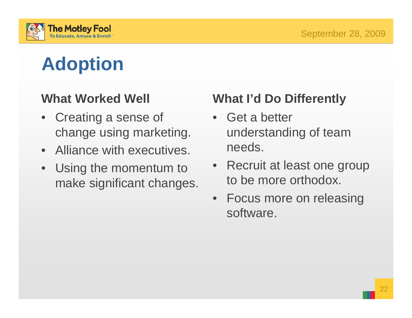

## **Adoption**

#### **What Worked Well**

- Creating a sense of change using marketing.
- Alliance with executives.
- Using the momentum to make significant changes.

#### **What I'd Do Differently**

- Get a better understanding of team needs.
- Recruit at least one group to be more orthodox.
- Focus more on releasing software.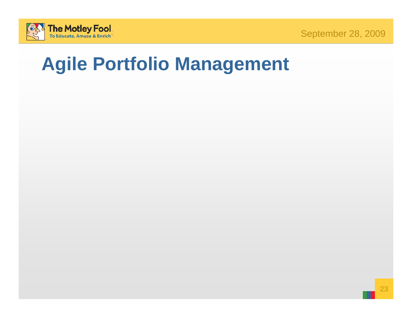

### **Agile Portfolio Management**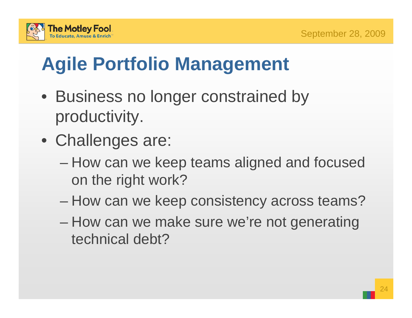

## **Agile Portfolio Management**

- Business no longer constrained by productivity.
- Challenges are:
	- How can we keep teams aligned and focused on the right work?
	- $\mathcal{L}_{\mathcal{A}}$ – How can we keep consistency across teams?
	- How can we make sure we're not generating technical debt?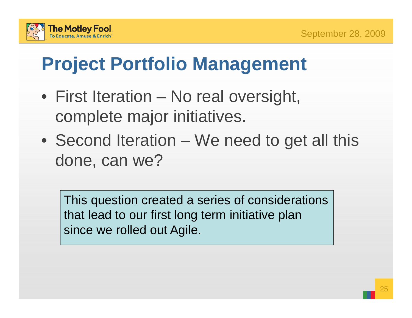

### **Project Portfolio Management**

- First Iteration No real oversight, complete major initiatives.
- Second Iteration We need to get all this done, can we?

This question created a series of considerations that lead to our first long term initiative plan since we rolled out Agile.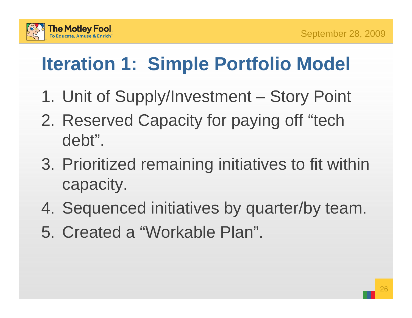

# **Iteration 1: Simple Portfolio Model**

- 1. Unit of Supply/Investment Story Point
- 2. Reserved Capacity for paying off "tech debt".
- 3. Prioritized remaining initiatives to fit within capacity.
- 4. Sequenced initiatives by quarter/by team.
- 5. Created a "Workable Plan".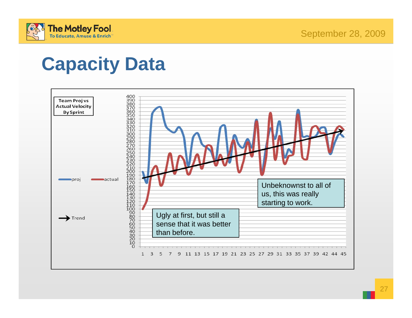

### **Capacity Data**

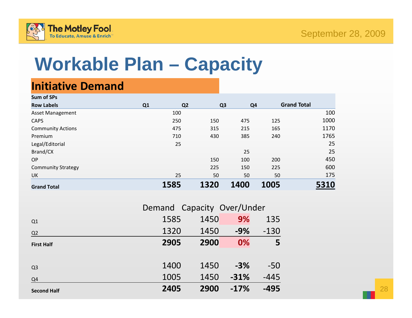

### **Workable Plan – Capacity**

#### **Initiative Demand**

| <b>Sum of SPs</b>         |                |                |                |                |                    |      |
|---------------------------|----------------|----------------|----------------|----------------|--------------------|------|
| <b>Row Labels</b>         | Q <sub>1</sub> | Q <sub>2</sub> | Q <sub>3</sub> | Q <sub>4</sub> | <b>Grand Total</b> |      |
| <b>Asset Management</b>   |                | 100            |                |                |                    | 100  |
| <b>CAPS</b>               |                | 250            | 150            | 475            | 125                | 1000 |
| <b>Community Actions</b>  |                | 475            | 315            | 215            | 165                | 1170 |
| Premium                   |                | 710            | 430            | 385            | 240                | 1765 |
| Legal/Editorial           |                | 25             |                |                |                    | 25   |
| Brand/CX                  |                |                |                | 25             |                    | 25   |
| <b>OP</b>                 |                |                | 150            | 100            | 200                | 450  |
| <b>Community Strategy</b> |                |                | 225            | 150            | 225                | 600  |
| UK                        |                | 25             | 50             | 50             | 50                 | 175  |
| <b>Grand Total</b>        | 1585           |                | 1320           | 1400           | 1005               | 5310 |

|                    | Demand Capacity Over/Under |      |        |        |
|--------------------|----------------------------|------|--------|--------|
| Q1                 | 1585                       | 1450 | 9%     | 135    |
| Q <sub>2</sub>     | 1320                       | 1450 | $-9%$  | $-130$ |
| <b>First Half</b>  | 2905                       | 2900 | 0%     | 5      |
|                    |                            |      |        |        |
| Q <sub>3</sub>     | 1400                       | 1450 | $-3%$  | $-50$  |
| Q <sub>4</sub>     | 1005                       | 1450 | $-31%$ | $-445$ |
| <b>Second Half</b> | 2405                       | 2900 | $-17%$ | $-495$ |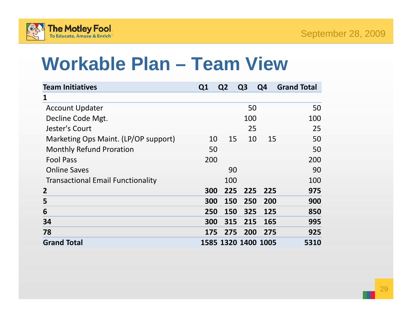

### **Workable Plan – Team View**

| <b>Team Initiatives</b>                  | Q <sub>1</sub> | Q <sub>2</sub> | Q <sub>3</sub>      | Q4  | <b>Grand Total</b> |
|------------------------------------------|----------------|----------------|---------------------|-----|--------------------|
| 1                                        |                |                |                     |     |                    |
| <b>Account Updater</b>                   |                |                | 50                  |     | 50                 |
| Decline Code Mgt.                        |                |                | 100                 |     | 100                |
| Jester's Court                           |                |                | 25                  |     | 25                 |
| Marketing Ops Maint. (LP/OP support)     | 10             | 15             | 10                  | 15  | 50                 |
| <b>Monthly Refund Proration</b>          | 50             |                |                     |     | 50                 |
| <b>Fool Pass</b>                         | 200            |                |                     |     | 200                |
| <b>Online Saves</b>                      |                | 90             |                     |     | 90                 |
| <b>Transactional Email Functionality</b> |                | 100            |                     |     | 100                |
| $\overline{2}$                           | 300            | 225            | 225                 | 225 | 975                |
| 5                                        | 300            | 150            | 250                 | 200 | 900                |
| 6                                        | 250            | 150            | 325                 | 125 | 850                |
| 34                                       | 300            | 315            | 215                 | 165 | 995                |
| 78                                       | 175            | 275            | 200                 | 275 | 925                |
| <b>Grand Total</b>                       |                |                | 1585 1320 1400 1005 |     | 5310               |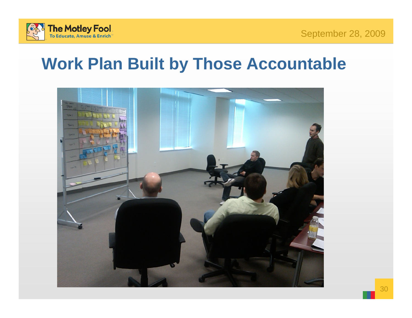

### **Work Plan Built by Those Accountable**

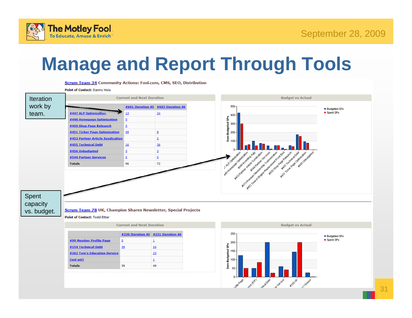

## **Manage and Report Through Tools**

**Scrum Team 34 Community Actions: Fool.com, CMS, SEO, Distribution** 

Point of Contact: Danny Hsia

| Iteration                        |                                                                                                       | <b>Current and Next Iteration</b>               |                                     | <b>Budget vs Actual</b> |                                                                                                                                                                                                                                                    |  |  |  |  |
|----------------------------------|-------------------------------------------------------------------------------------------------------|-------------------------------------------------|-------------------------------------|-------------------------|----------------------------------------------------------------------------------------------------------------------------------------------------------------------------------------------------------------------------------------------------|--|--|--|--|
|                                  |                                                                                                       |                                                 | #601 Iteration 45 #603 Iteration 46 |                         | $500 -$<br><b>Budgeted SPs</b>                                                                                                                                                                                                                     |  |  |  |  |
|                                  | #447 ALP Optimization                                                                                 | 13                                              | 24                                  |                         | Spent SPs<br>400                                                                                                                                                                                                                                   |  |  |  |  |
|                                  | #448 Homepage Optimization                                                                            | Σ                                               |                                     |                         | ē                                                                                                                                                                                                                                                  |  |  |  |  |
|                                  | #450 Shop Page Relaunch                                                                               | 5                                               |                                     |                         | 300                                                                                                                                                                                                                                                |  |  |  |  |
|                                  | #451 Ticker Page Optimization                                                                         | 49                                              | ₫                                   |                         | 200                                                                                                                                                                                                                                                |  |  |  |  |
| Spent<br>capacity<br>vs. budget. | #453 Partner Article Syndication                                                                      |                                                 | $\overline{\mathbf{z}}$             |                         | Sum Budgeted<br>100                                                                                                                                                                                                                                |  |  |  |  |
|                                  | #455 Technical Debt                                                                                   | 16                                              | 36                                  |                         |                                                                                                                                                                                                                                                    |  |  |  |  |
| work by<br>team.                 | #456 Unbudgeted                                                                                       | 3                                               | $\overline{a}$                      |                         |                                                                                                                                                                                                                                                    |  |  |  |  |
|                                  | #544 Partner Services                                                                                 | 5                                               | ō                                   |                         |                                                                                                                                                                                                                                                    |  |  |  |  |
|                                  | <b>Totals</b>                                                                                         | 96                                              | 72                                  |                         | SAFED SPRING REMAINDENT<br>FOTO PROVIDED NOW YOU CAN SERVER CONTINUES.<br>AND Control Kings Registerment from King<br>FAST THAN POR ORIGINAL<br>ASO Number Of Optimization<br>AMS Freeman Age<br>A FC Bratish Article S (Walder<br>AFSO UNIVERSITY |  |  |  |  |
|                                  | Scrum Team 78 UK, Champion Shares Newsletter, Special Projects<br><b>Point of Contact: Todd Etter</b> |                                                 |                                     |                         |                                                                                                                                                                                                                                                    |  |  |  |  |
|                                  |                                                                                                       | <b>Current and Next Iteration</b>               |                                     |                         | <b>Budget vs Actual</b>                                                                                                                                                                                                                            |  |  |  |  |
|                                  | #99 Member Profile Page                                                                               | #230 Iteration 45 #231 Iteration 46<br>$\Omega$ |                                     |                         | $250 -$<br><b>Budgeted SPs</b><br>■ Spent SPs                                                                                                                                                                                                      |  |  |  |  |
|                                  | #154 Technical Debt                                                                                   | 39                                              | $\mathbf{1}$<br>24                  |                         | 200<br>₿                                                                                                                                                                                                                                           |  |  |  |  |
|                                  | #262 Tom's Education Service                                                                          |                                                 | 23                                  |                         | $150 -$                                                                                                                                                                                                                                            |  |  |  |  |
|                                  | (not set)                                                                                             |                                                 | $\overline{1}$                      |                         | $100 -$                                                                                                                                                                                                                                            |  |  |  |  |
|                                  | <b>Totals</b>                                                                                         | 39                                              | 49                                  |                         | Sum Budgeted<br>50                                                                                                                                                                                                                                 |  |  |  |  |
|                                  |                                                                                                       |                                                 |                                     |                         | ince (ETF)<br>W-di Oalsk<br><b>WOO</b> UN-<br>n Service<br>Tille Park<br>1 Opene                                                                                                                                                                   |  |  |  |  |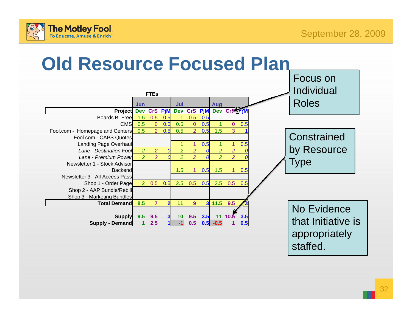appropriately

staffed.



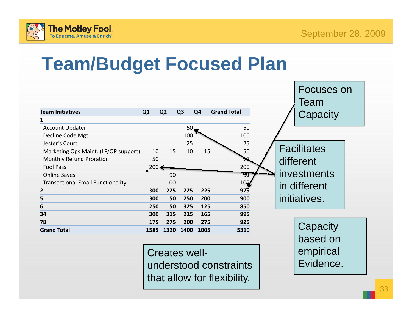

### **Team/Budget Focused Plan**

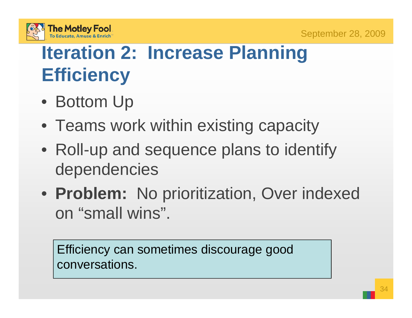

# **Iteration 2: Increase Planning Efficiency**

- Bottom Up
- Teams work within existing capacity
- Roll-up and sequence plans to identify dependencies
- **Problem:** No prioritization, Over indexed on "small wins".

Efficiency can sometimes discourage good conversations.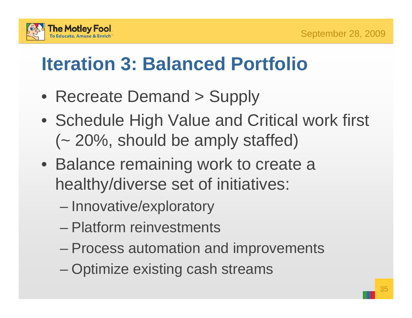

### **Iteration 3: Balanced Portfolio**

- Recreate Demand > Supply
- Schedule High Value and Critical work first (~ 20%, should be amply staffed)
- Balance remaining work to create a healthy/diverse set of initiatives:
	- Innovative/exploratory
	- Platform reinvestments
	- Process automation and improvements
	- Optimize existing cash streams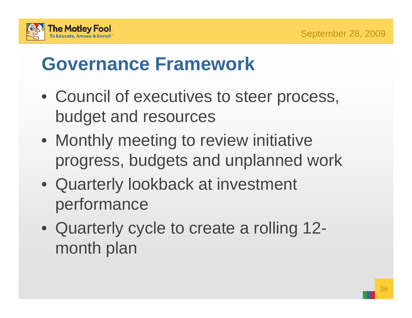

### **Governance Framework**

- Council of executives to steer process, budget and resources
- Monthly meeting to review initiative progress, budgets and unplanned work
- Quarterly lookback at investment performance
- Quarterly cycle to create a rolling 12 month plan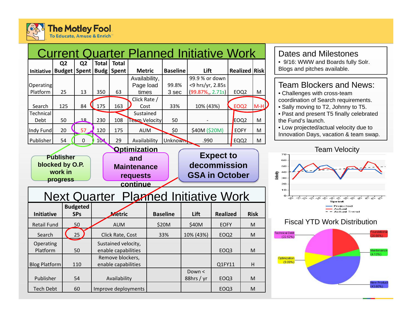

#### Current Quarter Planned Initiative Work

|                      | Q <sub>2</sub>                                             | Q <sub>2</sub>  | <b>Total</b>    | <b>Total</b>                                                                                                                     |                         |                 |                           |                  |                  |                      |  |
|----------------------|------------------------------------------------------------|-----------------|-----------------|----------------------------------------------------------------------------------------------------------------------------------|-------------------------|-----------------|---------------------------|------------------|------------------|----------------------|--|
| <b>Initiative</b>    | <b>Budget Spent</b>                                        |                 | <b>Budg</b>     | Spent                                                                                                                            | <b>Metric</b>           | <b>Baseline</b> |                           | Lift             |                  | <b>Realized Risk</b> |  |
|                      |                                                            |                 |                 |                                                                                                                                  | Availability,           |                 | 99.9 % or down            |                  |                  |                      |  |
| Operating            |                                                            |                 |                 |                                                                                                                                  | Page load               | 99.8%           | <9 hrs/yr, 2.85s          |                  |                  |                      |  |
| Platform             | 25                                                         | 13              | 350             | 63                                                                                                                               | times                   | 3 sec           | $(99.87\%, 2.71s)$        |                  | EOQ <sub>2</sub> | M                    |  |
| Search               | 125                                                        | 84              | 175             | 163                                                                                                                              | Click Rate /<br>Cost    | 33%             | 10% (43%)                 |                  | EOQ <sub>2</sub> | $M-H$                |  |
| Technical            |                                                            |                 |                 |                                                                                                                                  | Sustained               |                 |                           |                  |                  |                      |  |
| Debt                 | 50                                                         | 18              | 230             | 108                                                                                                                              | Team Velocity           | 50              |                           |                  | EOQ <sub>2</sub> | M                    |  |
| Indy Fund            | 20                                                         | 57              | 120             | 175                                                                                                                              | <b>AUM</b>              | \$0             | \$40M (\$20M)             |                  | <b>EOFY</b>      | M                    |  |
| Publisher            | 54                                                         | $\mathbf 0$     | 10 <sub>1</sub> | 29                                                                                                                               | Availability            | Unknown         | .990                      |                  | EQQ2             | M                    |  |
|                      | <b>Publisher</b><br>blocked by O.P.<br>work in<br>progress |                 |                 | <b>Optimization</b><br><b>Expect to</b><br>and<br>decommission<br><b>Maintenance</b><br><b>GSA in October</b><br><b>requests</b> |                         |                 |                           |                  |                  |                      |  |
|                      |                                                            |                 |                 |                                                                                                                                  | continue                |                 |                           |                  |                  |                      |  |
|                      | <b>Next Quarter</b>                                        |                 |                 |                                                                                                                                  | Planned Initiative Work |                 |                           |                  |                  |                      |  |
|                      |                                                            | <b>Budgeted</b> |                 |                                                                                                                                  |                         |                 |                           |                  |                  |                      |  |
| <b>Initiative</b>    |                                                            | <b>SPs</b>      |                 | Metric                                                                                                                           |                         | <b>Baseline</b> | Lift<br><b>Realized</b>   |                  |                  | <b>Risk</b>          |  |
| <b>Retail Fund</b>   |                                                            | 50              |                 | <b>AUM</b>                                                                                                                       |                         | \$20M           | \$40M<br><b>EOFY</b>      |                  | М                |                      |  |
| Search               |                                                            | 25 <sub>1</sub> |                 | Click Rate, Cost                                                                                                                 |                         | 33%             | 10% (43%)                 | EOQ <sub>2</sub> |                  | M                    |  |
| Operating            |                                                            |                 |                 | Sustained velocity,                                                                                                              |                         |                 |                           |                  |                  |                      |  |
| Platform             |                                                            | 50              |                 | enable capabilities                                                                                                              |                         |                 |                           | EOQ3             |                  | M                    |  |
| <b>Blog Platform</b> |                                                            | 110             |                 | Remove blockers,<br>enable capabilities                                                                                          |                         |                 |                           | Q1FY11           |                  | H                    |  |
| Publisher            |                                                            | 54              |                 | Availability                                                                                                                     |                         |                 | Down $\leq$<br>88hrs / yr | EOQ3             | M                |                      |  |
| <b>Tech Debt</b>     |                                                            | 60              |                 | Improve deployments                                                                                                              |                         |                 |                           | EOQ3             |                  | M                    |  |

#### Dates and Milestones

• 9/16: WWW and Boards fully Solr. Blogs and pitches available.

#### Team Blockers and News:

- Challenges with cross-team coordination of Search requirements.
- Sally moving to T2, Johnny to T5.
- Past and present T5 finally celebrated the Fund's launch.
- Low projected/actual velocity due to Innovation Days, vacation & team swap.



#### Fiscal YTD Work Distribution

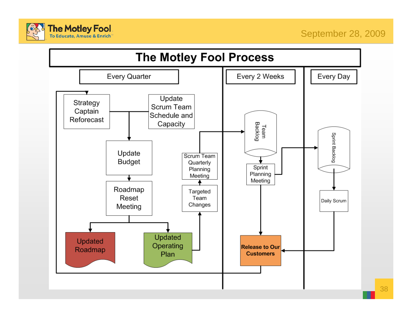

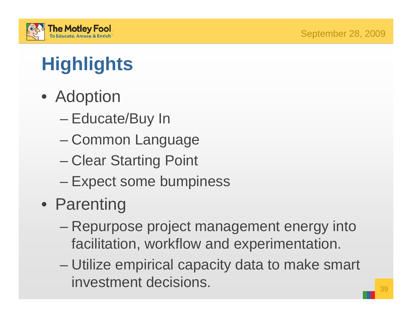

# **Highlights**

- Adoption
	- Educate/Buy In
	- Common Language
	- Clear Starting Point
	- Expect some bumpiness
- Parenting
	- Repurpose project management energy into facilitation, workflow and experimentation.
	- Utilize empirical capacity data to make smart investment decisions.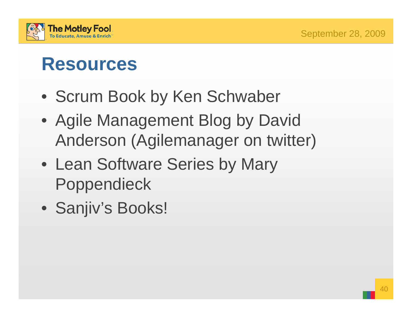

### **Resources**

- Scrum Book by Ken Schwaber
- Agile Management Blog by David Anderson (Agilemanager on twitter)
- Lean Software Series by Mary Poppendieck
- Sanjiv's Books!